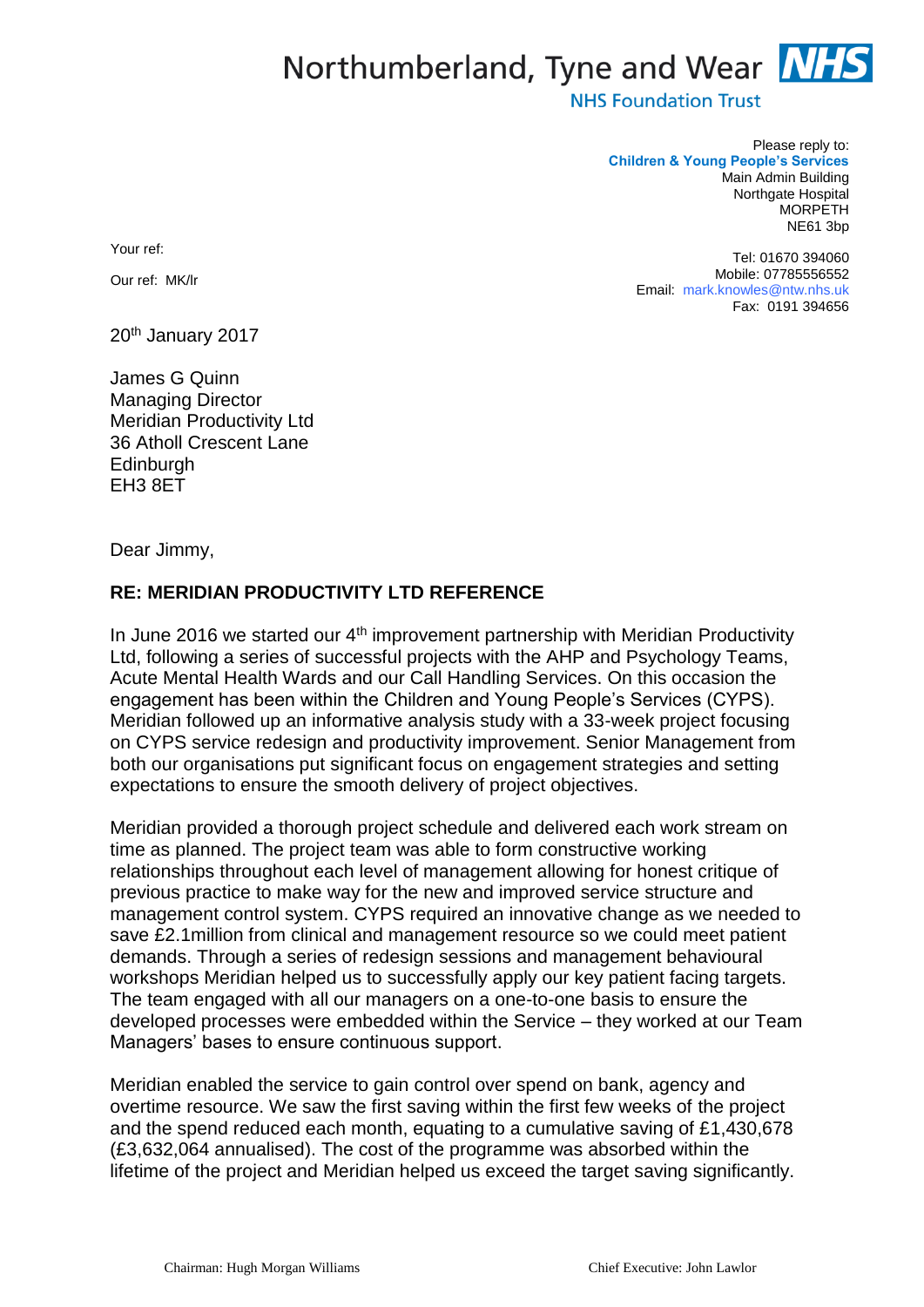## Northumberland, Tyne and Wear **NHS**

**NHS Foundation Trust** 

Please reply to: **Children & Young People's Services** Main Admin Building Northgate Hospital MORPETH NE61 3bp

Your ref:

Our ref: MK/lr

Tel: 01670 394060 Mobile: 07785556552 Email: mark.knowles@ntw.nhs.uk Fax: 0191 394656

20th January 2017

James G Quinn Managing Director Meridian Productivity Ltd 36 Atholl Crescent Lane **Edinburgh** EH3 8ET

Dear Jimmy,

## **RE: MERIDIAN PRODUCTIVITY LTD REFERENCE**

In June 2016 we started our  $4<sup>th</sup>$  improvement partnership with Meridian Productivity Ltd, following a series of successful projects with the AHP and Psychology Teams, Acute Mental Health Wards and our Call Handling Services. On this occasion the engagement has been within the Children and Young People's Services (CYPS). Meridian followed up an informative analysis study with a 33-week project focusing on CYPS service redesign and productivity improvement. Senior Management from both our organisations put significant focus on engagement strategies and setting expectations to ensure the smooth delivery of project objectives.

Meridian provided a thorough project schedule and delivered each work stream on time as planned. The project team was able to form constructive working relationships throughout each level of management allowing for honest critique of previous practice to make way for the new and improved service structure and management control system. CYPS required an innovative change as we needed to save £2.1million from clinical and management resource so we could meet patient demands. Through a series of redesign sessions and management behavioural workshops Meridian helped us to successfully apply our key patient facing targets. The team engaged with all our managers on a one-to-one basis to ensure the developed processes were embedded within the Service – they worked at our Team Managers' bases to ensure continuous support.

Meridian enabled the service to gain control over spend on bank, agency and overtime resource. We saw the first saving within the first few weeks of the project and the spend reduced each month, equating to a cumulative saving of £1,430,678 (£3,632,064 annualised). The cost of the programme was absorbed within the lifetime of the project and Meridian helped us exceed the target saving significantly.